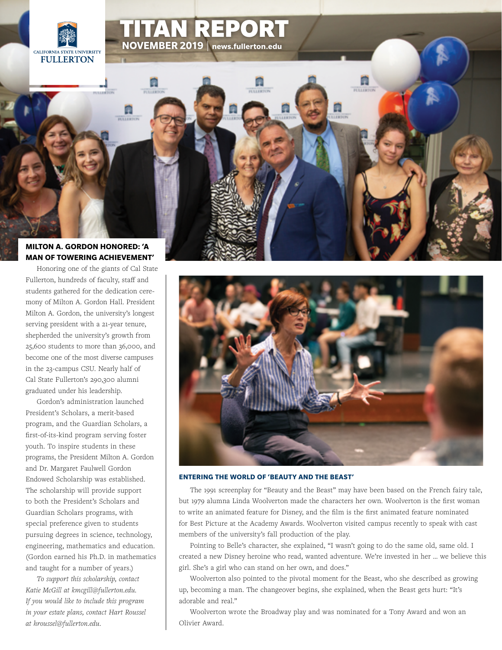



AN REPORT

# **[MAN OF TOWERING ACHIEVEMENT'](http://news.fullerton.edu/2019su/Gordon-Hall-Dedication.aspx)**

Honoring one of the giants of Cal State Fullerton, hundreds of faculty, staff and students gathered for the dedication ceremony of Milton A. Gordon Hall. President Milton A. Gordon, the university's longest serving president with a 21-year tenure, shepherded the university's growth from 25,600 students to more than 36,000, and become one of the most diverse campuses in the 23-campus CSU. Nearly half of Cal State Fullerton's 290,300 alumni graduated under his leadership.

Gordon's administration launched President's Scholars, a merit-based program, and the Guardian Scholars, a first-of-its-kind program serving foster youth. To inspire students in these programs, the President Milton A. Gordon and Dr. Margaret Faulwell Gordon Endowed Scholarship was established. The scholarship will provide support to both the President's Scholars and Guardian Scholars programs, with special preference given to students pursuing degrees in science, technology, engineering, mathematics and education. (Gordon earned his Ph.D. in mathematics and taught for a number of years.)

*To support this scholarship, contact Katie McGill at kmcgill@fullerton.edu. If you would like to include this program in your estate plans, contact Hart Roussel at hroussel@fullerton.edu.*



#### **ENTERING THE WORLD OF 'BEAUTY AND THE BEAST'**

The 1991 screenplay for "Beauty and the Beast" may have been based on the French fairy tale, but 1979 alumna Linda Woolverton made the characters her own. Woolverton is the first woman to write an animated feature for Disney, and the film is the first animated feature nominated for Best Picture at the Academy Awards. Woolverton visited campus recently to speak with cast members of the university's fall production of the play.

Pointing to Belle's character, she explained, "I wasn't going to do the same old, same old. I [created a new Disney heroine who read, wanted adventure. We're invested in her … we believe this](http://news.fullerton.edu/2019su/Beauty-and-the-Beast-Woolverton.aspx)  girl. She's a girl who can stand on her own, and does."

Woolverton also pointed to the pivotal moment for the Beast, who she described as growing up, becoming a man. The changeover begins, she explained, when the Beast gets hurt: "It's adorable and real."

Woolverton wrote the Broadway play and was nominated for a Tony Award and won an Olivier Award.